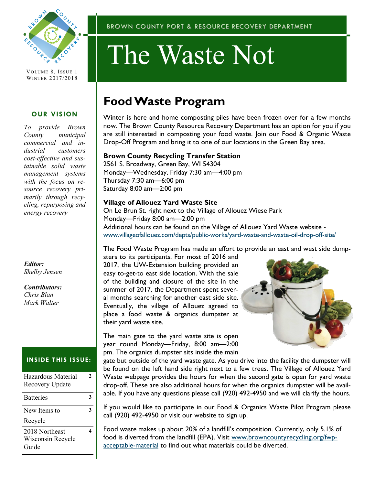

VOLUME 8, ISSUE 1 WINTER 2017/2018

### **OUR VISION**

*To provide Brown County municipal commercial and industrial customers cost-effective and sustainable solid waste management systems with the focus on resource recovery primarily through recycling, repurposing and energy recovery*

#### *Editor: Shelby Jensen*

*Contributors: Chris Blan Mark Walter*

## **INSIDE THIS ISSUE:**

| Hazardous Material<br>Recovery Update        | 7 |
|----------------------------------------------|---|
| <b>Batteries</b>                             |   |
| New Items to<br>Recycle                      |   |
| 2018 Northeast<br>Wisconsin Recycle<br>Guide |   |

#### BROWN COUNTY PORT & RESOURCE RECOVERY DEPARTMENT

# The Waste Not

## **Food Waste Program**

Winter is here and home composting piles have been frozen over for a few months now. The Brown County Resource Recovery Department has an option for you if you are still interested in composting your food waste. Join our Food & Organic Waste Drop-Off Program and bring it to one of our locations in the Green Bay area.

#### **Brown County Recycling Transfer Station**

2561 S. Broadway, Green Bay, WI 54304 Monday—Wednesday, Friday 7:30 am—4:00 pm Thursday 7:30 am—6:00 pm Saturday 8:00 am—2:00 pm

### **Village of Allouez Yard Waste Site**

On Le Brun St. right next to the Village of Allouez Wiese Park Monday—Friday 8:00 am—2:00 pm Additional hours can be found on the Village of Allouez Yard Waste website [www.villageofallouez.com/depts/public-works/yard-waste-and-waste-oil-drop-off-site/](http://www.villageofallouez.com/depts/public-works/yard-waste-and-waste-oil-drop-off-site/) 

The Food Waste Program has made an effort to provide an east and west side dump-

sters to its participants. For most of 2016 and 2017, the UW-Extension building provided an easy to-get-to east side location. With the sale of the building and closure of the site in the summer of 2017, the Department spent several months searching for another east side site. Eventually, the village of Allouez agreed to place a food waste & organics dumpster at their yard waste site.

The main gate to the yard waste site is open year round Monday—Friday, 8:00 am—2:00 pm. The organics dumpster sits inside the main



gate but outside of the yard waste gate. As you drive into the facility the dumpster will be found on the left hand side right next to a few trees. The Village of Allouez Yard Waste webpage provides the hours for when the second gate is open for yard waste drop-off. These are also additional hours for when the organics dumpster will be available. If you have any questions please call (920) 492-4950 and we will clarify the hours.

If you would like to participate in our Food & Organics Waste Pilot Program please call (920) 492-4950 or visit our website to sign up.

Food waste makes up about 20% of a landfill's composition. Currently, only 5.1% of food is diverted from the landfill (EPA). Visit [www.browncountyrecycling.org/fwp](http://www.browncountyrecycling.org/fwp-acceptable-material)[acceptable-material](http://www.browncountyrecycling.org/fwp-acceptable-material) to find out what materials could be diverted.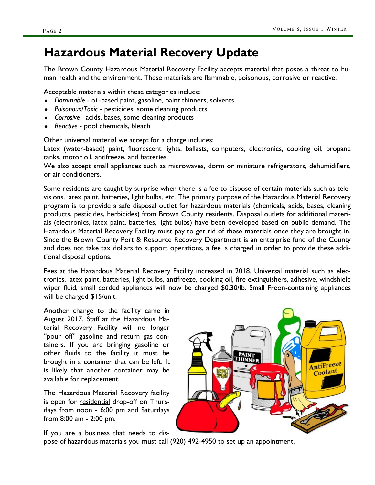## **Hazardous Material Recovery Update**

The Brown County Hazardous Material Recovery Facility accepts material that poses a threat to human health and the environment. These materials are flammable, poisonous, corrosive or reactive.

Acceptable materials within these categories include:

- *Flammable*  oil-based paint, gasoline, paint thinners, solvents
- *Poisonous/Toxic*  pesticides, some cleaning products
- *Corrosive -* acids, bases, some cleaning products
- *Reactive* pool chemicals, bleach

Other universal material we accept for a charge includes:

Latex (water-based) paint, fluorescent lights, ballasts, computers, electronics, cooking oil, propane tanks, motor oil, antifreeze, and batteries.

We also accept small appliances such as microwaves, dorm or miniature refrigerators, dehumidifiers, or air conditioners.

Some residents are caught by surprise when there is a fee to dispose of certain materials such as televisions, latex paint, batteries, light bulbs, etc. The primary purpose of the Hazardous Material Recovery program is to provide a safe disposal outlet for hazardous materials (chemicals, acids, bases, cleaning products, pesticides, herbicides) from Brown County residents. Disposal outlets for additional materials (electronics, latex paint, batteries, light bulbs) have been developed based on public demand. The Hazardous Material Recovery Facility must pay to get rid of these materials once they are brought in. Since the Brown County Port & Resource Recovery Department is an enterprise fund of the County and does not take tax dollars to support operations, a fee is charged in order to provide these additional disposal options.

Fees at the Hazardous Material Recovery Facility increased in 2018. Universal material such as electronics, latex paint, batteries, light bulbs, antifreeze, cooking oil, fire extinguishers, adhesive, windshield wiper fluid, small corded appliances will now be charged \$0.30/lb. Small Freon-containing appliances will be charged \$15/unit.

Another change to the facility came in August 2017. Staff at the Hazardous Material Recovery Facility will no longer "pour off" gasoline and return gas containers. If you are bringing gasoline or other fluids to the facility it must be brought in a container that can be left. It is likely that another container may be available for replacement.

The Hazardous Material Recovery facility is open for residential drop-off on Thursdays from noon - 6:00 pm and Saturdays from 8:00 am - 2:00 pm.

If you are a **business** that needs to dis-

AntiFreeze Coolant

pose of hazardous materials you must call (920) 492-4950 to set up an appointment.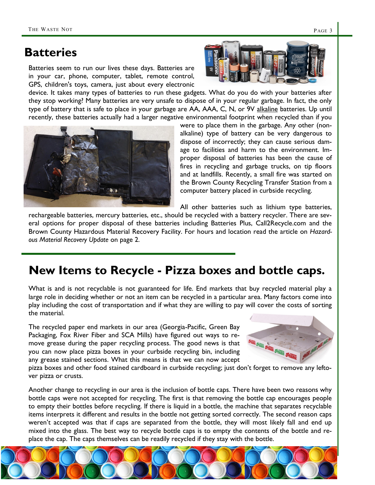## **Batteries**

Batteries seem to run our lives these days. Batteries are in your car, phone, computer, tablet, remote control, GPS, children's toys, camera, just about every electronic

device. It takes many types of batteries to run these gadgets. What do you do with your batteries after they stop working? Many batteries are very unsafe to dispose of in your regular garbage. In fact, the only type of battery that is safe to place in your garbage are AA, AAA, C, N, or 9V alkaline batteries. Up until recently, these batteries actually had a larger negative environmental footprint when recycled than if you

> were to place them in the garbage. Any other (nonalkaline) type of battery can be very dangerous to dispose of incorrectly; they can cause serious damage to facilities and harm to the environment. Improper disposal of batteries has been the cause of fires in recycling and garbage trucks, on tip floors and at landfills. Recently, a small fire was started on the Brown County Recycling Transfer Station from a computer battery placed in curbside recycling.

All other batteries such as lithium type batteries,

rechargeable batteries, mercury batteries, etc., should be recycled with a battery recycler. There are several options for proper disposal of these batteries including Batteries Plus, Call2Recycle.com and the Brown County Hazardous Material Recovery Facility. For hours and location read the article on *Hazardous Material Recovery Update* on page 2.

## **New Items to Recycle - Pizza boxes and bottle caps.**

What is and is not recyclable is not guaranteed for life. End markets that buy recycled material play a large role in deciding whether or not an item can be recycled in a particular area. Many factors come into play including the cost of transportation and if what they are willing to pay will cover the costs of sorting the material.

The recycled paper end markets in our area (Georgia-Pacific, Green Bay Packaging, Fox River Fiber and SCA Mills) have figured out ways to remove grease during the paper recycling process. The good news is that you can now place pizza boxes in your curbside recycling bin, including any grease stained sections. What this means is that we can now accept

pizza boxes and other food stained cardboard in curbside recycling; just don't forget to remove any leftover pizza or crusts.

Another change to recycling in our area is the inclusion of bottle caps. There have been two reasons why bottle caps were not accepted for recycling. The first is that removing the bottle cap encourages people to empty their bottles before recycling. If there is liquid in a bottle, the machine that separates recyclable items interprets it different and results in the bottle not getting sorted correctly. The second reason caps weren't accepted was that if caps are separated from the bottle, they will most likely fall and end up mixed into the glass. The best way to recycle bottle caps is to empty the contents of the bottle and replace the cap. The caps themselves can be readily recycled if they stay with the bottle.